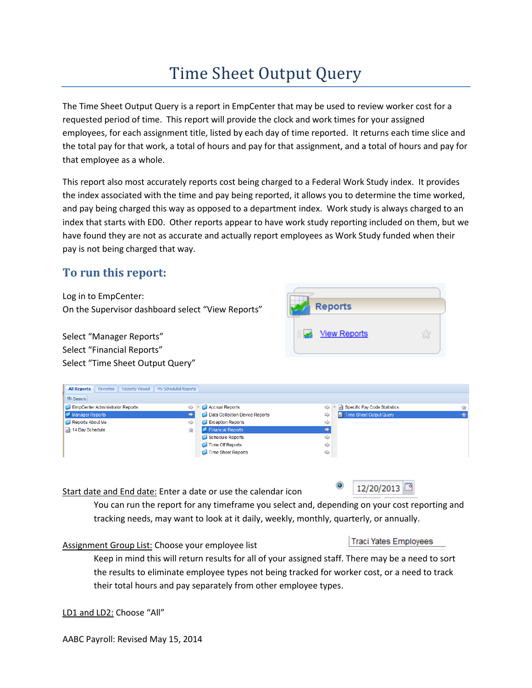# Time Sheet Output Query

The Time Sheet Output Query is a report in EmpCenter that may be used to review worker cost for a requested period of time. This report will provide the clock and work times for your assigned employees, for each assignment title, listed by each day of time reported. It returns each time slice and the total pay for that work, a total of hours and pay for that assignment, and a total of hours and pay for that employee as a whole.

This report also most accurately reports cost being charged to a Federal Work Study index. It provides the index associated with the time and pay being reported, it allows you to determine the time worked, and pay being charged this way as opposed to a department index. Work study is always charged to an index that starts with ED0. Other reports appear to have work study reporting included on them, but we have found they are not as accurate and actually report employees as Work Study funded when their pay is not being charged that way.

# **To run this report:**

Log in to EmpCenter: On the Supervisor dashboard select "View Reports"

Select "Manager Reports" Select "Financial Reports" Select "Time Sheet Output Query"



| <b>All Reports</b>              | Favorites | <b>Recently Viewed</b> | My Scheduled Reports |                                |                          |                  |                              |   |  |  |  |  |  |
|---------------------------------|-----------|------------------------|----------------------|--------------------------------|--------------------------|------------------|------------------------------|---|--|--|--|--|--|
| So Search                       |           |                        |                      |                                |                          |                  |                              |   |  |  |  |  |  |
| EmpCenter Administrator Reports |           |                        |                      | Accrual Reports                | ⇨                        | $\blacktriangle$ | Specific Pay Code Statistics | 贪 |  |  |  |  |  |
| Manager Reports                 |           |                        |                      | Data Collection Device Reports | ⇨                        |                  | Time Sheet Output Query      |   |  |  |  |  |  |
| Reports About Me                |           |                        | ⇨                    |                                | <b>Exception Reports</b> | ⇨                |                              |   |  |  |  |  |  |
| 14 Day Schedule                 |           |                        | 窝                    |                                | Financial Reports        |                  |                              |   |  |  |  |  |  |
|                                 |           |                        |                      |                                | Schedule Reports         | ⇨                |                              |   |  |  |  |  |  |
|                                 |           |                        |                      |                                | Time Off Reports         | ⇨                |                              |   |  |  |  |  |  |
|                                 |           |                        |                      |                                | Time Sheet Reports       | $\Rightarrow$    |                              |   |  |  |  |  |  |
|                                 |           |                        |                      |                                |                          |                  |                              |   |  |  |  |  |  |

Start date and End date: Enter a date or use the calendar icon

 $\circledcirc$ 12/20/2013

You can run the report for any timeframe you select and, depending on your cost reporting and tracking needs, may want to look at it daily, weekly, monthly, quarterly, or annually.

Assignment Group List: Choose your employee list

# **Traci Yates Employees**

Keep in mind this will return results for all of your assigned staff. There may be a need to sort the results to eliminate employee types not being tracked for worker cost, or a need to track their total hours and pay separately from other employee types.

LD1 and LD2: Choose "All"